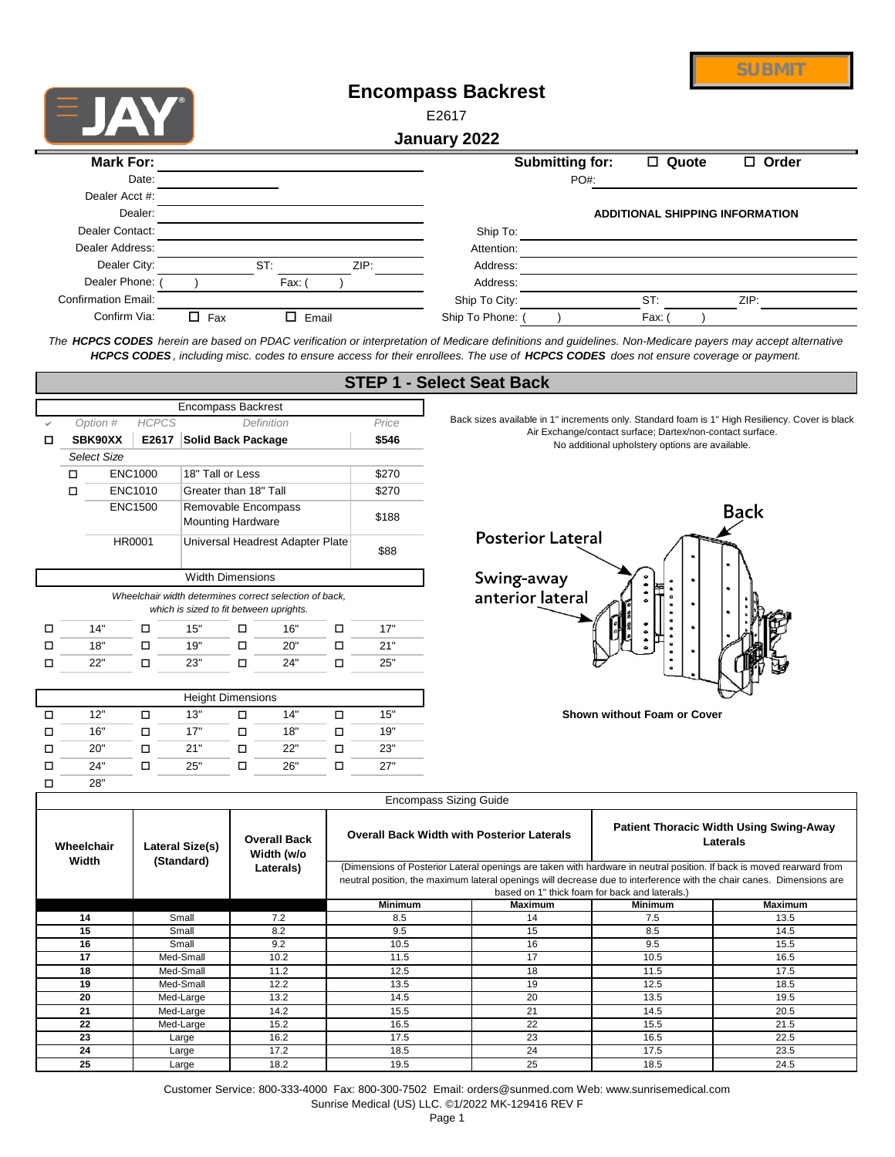|                            |                |       | <b>Encompass Backrest</b><br>E2617 |                        |                                        |              |  |
|----------------------------|----------------|-------|------------------------------------|------------------------|----------------------------------------|--------------|--|
|                            |                |       | January 2022                       |                        |                                        |              |  |
|                            |                |       |                                    |                        |                                        |              |  |
| <b>Mark For:</b>           |                |       |                                    | <b>Submitting for:</b> | □ Quote                                | $\Box$ Order |  |
| Date:                      |                |       |                                    | PO#:                   |                                        |              |  |
| Dealer Acct #:             |                |       |                                    |                        |                                        |              |  |
| Dealer:                    |                |       |                                    |                        | <b>ADDITIONAL SHIPPING INFORMATION</b> |              |  |
| Dealer Contact:            |                |       | Ship To:                           |                        |                                        |              |  |
| Dealer Address:            |                |       | Attention:                         |                        |                                        |              |  |
| Dealer City:               | ST:            | ZIP:  | Address:                           |                        |                                        |              |  |
| Dealer Phone:              | Fax: (         |       | Address:                           |                        |                                        |              |  |
| <b>Confirmation Email:</b> |                |       | Ship To City:                      |                        | ST:                                    | ZIP:         |  |
| Confirm Via:               | □<br>0.<br>Fax | Email | Ship To Phone:                     |                        | Fax:                                   |              |  |

*The HCPCS CODES herein are based on PDAC verification or interpretation of Medicare definitions and guidelines. Non-Medicare payers may accept alternative HCPCS CODES , including misc. codes to ensure access for their enrollees. The use of HCPCS CODES does not ensure coverage or payment.*

|   |                                        |  |                |     |                                                 |                                                        |   | 91 EF 1 <del>-</del> 95 |  |
|---|----------------------------------------|--|----------------|-----|-------------------------------------------------|--------------------------------------------------------|---|-------------------------|--|
|   |                                        |  |                |     | <b>Encompass Backrest</b>                       |                                                        |   |                         |  |
|   | <b>HCPCS</b><br>Option #<br>Definition |  |                |     |                                                 |                                                        |   | Price                   |  |
|   | SBK90XX                                |  | E2617          |     | <b>Solid Back Package</b>                       |                                                        |   | \$546                   |  |
|   | <b>Select Size</b>                     |  |                |     |                                                 |                                                        |   |                         |  |
|   | п                                      |  | <b>ENC1000</b> |     | 18" Tall or Less                                |                                                        |   | \$270                   |  |
|   | п                                      |  | <b>ENC1010</b> |     | Greater than 18" Tall                           |                                                        |   | \$270                   |  |
|   |                                        |  | <b>ENC1500</b> |     | Removable Encompass<br><b>Mounting Hardware</b> |                                                        |   | \$188                   |  |
|   |                                        |  | <b>HR0001</b>  |     |                                                 | Universal Headrest Adapter Plate                       |   | \$88                    |  |
|   |                                        |  |                |     | <b>Width Dimensions</b>                         |                                                        |   |                         |  |
|   |                                        |  |                |     |                                                 | Wheelchair width determines correct selection of back, |   |                         |  |
|   |                                        |  |                |     | which is sized to fit between uprights.         |                                                        |   |                         |  |
| п | 14"                                    |  | п              | 15" | П                                               | 16"                                                    | п | 17"                     |  |
|   | 18"                                    |  | п              | 19" | п                                               | 20"                                                    | п | 21"                     |  |
| ш | 22"                                    |  | □              | 23" | п                                               | 24"                                                    | п | 25"                     |  |
|   |                                        |  |                |     |                                                 |                                                        |   |                         |  |
|   |                                        |  |                |     | <b>Height Dimensions</b>                        |                                                        |   |                         |  |
| п | 12"                                    |  | п              | 13" | п                                               | 14"                                                    | п | 15"                     |  |
|   | 16"                                    |  | п              | 17" | П                                               | 18"                                                    | п | 19"                     |  |
| п | 20"                                    |  | П              | 21" | п                                               | 22"                                                    | п | 23"                     |  |

24" □ 25" □ 26" □ 27"

 $\square$  24"  $\square$  25"  $\square$  26"  $\square$ 

## **STEP 1 - Select Seat Back**

Back sizes available in 1" increments only. Standard foam is 1" High Resiliency. Cover is black Air Exchange/contact surface; Dartex/non-contact surface. No additional upholstery options are available.

**SUBMIT**



**Shown without Foam or Cover**

o

28"

|            | <b>Encompass Sizing Guide</b> |                                   |                                                                                                                 |                                                |                |                                                                                                                                                                                                                                                |  |  |  |
|------------|-------------------------------|-----------------------------------|-----------------------------------------------------------------------------------------------------------------|------------------------------------------------|----------------|------------------------------------------------------------------------------------------------------------------------------------------------------------------------------------------------------------------------------------------------|--|--|--|
| Wheelchair | Lateral Size(s)               | <b>Overall Back</b><br>Width (w/o | <b>Patient Thoracic Width Using Swing-Away</b><br><b>Overall Back Width with Posterior Laterals</b><br>Laterals |                                                |                |                                                                                                                                                                                                                                                |  |  |  |
| Width      | (Standard)                    | Laterals)                         |                                                                                                                 | based on 1" thick foam for back and laterals.) |                | (Dimensions of Posterior Lateral openings are taken with hardware in neutral position. If back is moved rearward from<br>neutral position, the maximum lateral openings will decrease due to interference with the chair canes. Dimensions are |  |  |  |
|            |                               |                                   | <b>Minimum</b>                                                                                                  | <b>Maximum</b>                                 | <b>Minimum</b> | <b>Maximum</b>                                                                                                                                                                                                                                 |  |  |  |
| 14         | Small                         | 7.2                               | 8.5                                                                                                             | 14                                             | 7.5            | 13.5                                                                                                                                                                                                                                           |  |  |  |
| 15         | Small                         | 8.2                               | 9.5                                                                                                             | 15                                             | 8.5            | 14.5                                                                                                                                                                                                                                           |  |  |  |
| 16         | Small                         | 9.2                               | 10.5                                                                                                            | 16                                             | 9.5            | 15.5                                                                                                                                                                                                                                           |  |  |  |
| 17         | Med-Small                     | 10.2                              | 11.5                                                                                                            | 17                                             | 10.5           | 16.5                                                                                                                                                                                                                                           |  |  |  |
| 18         | Med-Small                     | 11.2                              | 12.5                                                                                                            | 18                                             | 11.5           | 17.5                                                                                                                                                                                                                                           |  |  |  |
| 19         | Med-Small                     | 12.2                              | 13.5                                                                                                            | 19                                             | 12.5           | 18.5                                                                                                                                                                                                                                           |  |  |  |
| 20         | Med-Large                     | 13.2                              | 14.5                                                                                                            | 20                                             | 13.5           | 19.5                                                                                                                                                                                                                                           |  |  |  |
| 21         | Med-Large                     | 14.2                              | 15.5                                                                                                            | 21                                             | 14.5           | 20.5                                                                                                                                                                                                                                           |  |  |  |
| 22         | Med-Large                     | 15.2                              | 16.5                                                                                                            | 22                                             | 15.5           | 21.5                                                                                                                                                                                                                                           |  |  |  |
| 23         | Large                         | 16.2                              | 17.5                                                                                                            | 23                                             | 16.5           | 22.5                                                                                                                                                                                                                                           |  |  |  |
| 24         | Large                         | 17.2                              | 18.5                                                                                                            | 24                                             | 17.5           | 23.5                                                                                                                                                                                                                                           |  |  |  |
| 25         | Large                         | 18.2                              | 19.5                                                                                                            | 25                                             | 18.5           | 24.5                                                                                                                                                                                                                                           |  |  |  |

Customer Service: 800-333-4000 Fax: 800-300-7502 Email: orders@sunmed.com Web: www.sunrisemedical.com Sunrise Medical (US) LLC. ©1/2022 MK-129416 REV F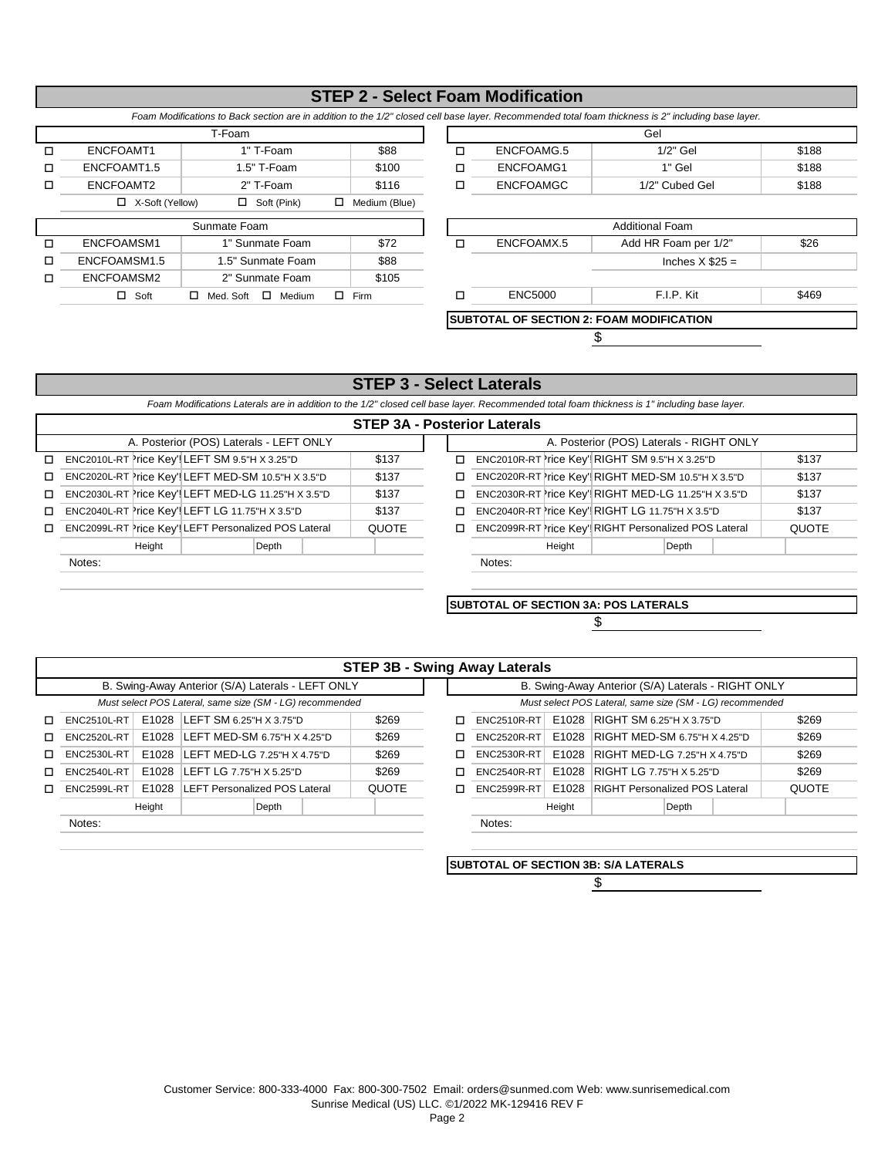## **STEP 2 - Select Foam Modification**

*Foam Modifications to Back section are in addition to the 1/2" closed cell base layer. Recommended total foam thickness is 2" including base layer.*

| T-Foam |                 |                   |               |  |                  | Gel        |
|--------|-----------------|-------------------|---------------|--|------------------|------------|
|        | ENCFOAMT1       | 1" T-Foam         | \$88          |  | ENCFOAMG.5       | 1/2" Gel   |
|        | ENCFOAMT1.5     | $1.5"$ T-Foam     | \$100         |  | ENCFOAMG1        | 1" Gel     |
|        | ENCFOAMT2       | 2" T-Foam         | \$116         |  | <b>ENCFOAMGC</b> | 1/2" Cubed |
|        | X-Soft (Yellow) | Soft (Pink)<br>П. | Medium (Blue) |  |                  |            |

o

| T-Foam      |             |       |   |                  | Gel            |       |
|-------------|-------------|-------|---|------------------|----------------|-------|
| ENCFOAMT1   | 1" T-Foam   | \$88  |   | ENCFOAMG.5       | $1/2"$ Gel     | \$188 |
| ENCFOAMT1.5 | 1.5" T-Foam | \$100 |   | ENCFOAMG1        | 1" Gel         | \$188 |
| ENCFOAMT2   | 2" T-Foam   | \$116 | ـ | <b>ENCFOAMGC</b> | 1/2" Cubed Gel | \$188 |





## **STEP 3 - Select Laterals**

*Foam Modifications Laterals are in addition to the 1/2" closed cell base layer. Recommended total foam thickness is 1" including base layer.*

| <b>STEP 3A - Posterior Laterals</b> |  |
|-------------------------------------|--|
|-------------------------------------|--|

|    |                                                      |              |   | 9 . L. 97 99.91. LG.91 GIV |                                                      |              |
|----|------------------------------------------------------|--------------|---|----------------------------|------------------------------------------------------|--------------|
|    | A. Posterior (POS) Laterals - LEFT ONLY              |              |   |                            | A. Posterior (POS) Laterals - RIGHT ONLY             |              |
| п. | ENC2010L-RT Price Key' LEFT SM 9.5"H X 3.25"D        | \$137        | ◻ |                            | ENC2010R-RT rice Key' RIGHT SM 9.5"H X 3.25"D        | \$137        |
| П. | ENC2020L-RT Price Key'! LEFT MED-SM 10.5"H X 3.5"D   | \$137        | □ |                            | ENC2020R-RT rice Key' RIGHT MED-SM 10.5"H X 3.5"D    | \$137        |
| п. | ENC2030L-RT Price Key' LEFT MED-LG 11.25"H X 3.5"D   | \$137        | п |                            | ENC2030R-RT rice Key' RIGHT MED-LG 11.25"H X 3.5"D   | \$137        |
| п. | ENC2040L-RT Price Key'! LEFT LG 11.75"H X 3.5"D      | \$137        | ◻ |                            | ENC2040R-RT rice Key' RIGHT LG 11.75"H X 3.5"D       | \$137        |
| п. | ENC2099L-RT Price Key' LEFT Personalized POS Lateral | <b>QUOTE</b> | ◻ |                            | ENC2099R-RT rice Key' RIGHT Personalized POS Lateral | <b>QUOTE</b> |
|    | Height<br>Depth                                      |              |   | Height                     | Depth                                                |              |
|    | Notes:                                               |              |   | Notes:                     |                                                      |              |
|    |                                                      |              |   |                            |                                                      |              |

**SUBTOTAL OF SECTION 3A: POS LATERALS**

\$

|    |                    |        |                                                          |       |              |   | <b>STEP 3B - Swing Away Laterals</b> |        |                                                          |       |              |
|----|--------------------|--------|----------------------------------------------------------|-------|--------------|---|--------------------------------------|--------|----------------------------------------------------------|-------|--------------|
|    |                    |        | B. Swing-Away Anterior (S/A) Laterals - LEFT ONLY        |       |              |   |                                      |        | B. Swing-Away Anterior (S/A) Laterals - RIGHT ONLY       |       |              |
|    |                    |        | Must select POS Lateral, same size (SM - LG) recommended |       |              |   |                                      |        | Must select POS Lateral, same size (SM - LG) recommended |       |              |
| п. | ENC2510L-RT        |        | E1028 LEFT SM 6.25"H X 3.75"D                            |       | \$269        | п | ENC2510R-RT                          | E1028  | <b>RIGHT SM 6.25"H X 3.75"D</b>                          |       | \$269        |
| п. | <b>ENC2520L-RT</b> | E1028  | LEFT MED-SM 6.75"H X 4.25"D                              |       | \$269        | п | <b>ENC2520R-RT</b>                   | E1028  | RIGHT MED-SM 6.75"H X 4.25"D                             |       | \$269        |
| п  | <b>ENC2530L-RT</b> | E1028  | LEFT MED-LG 7.25"H X 4.75"D                              |       | \$269        |   | <b>ENC2530R-RT</b>                   | E1028  | <b>RIGHT MED-LG 7.25"H X 4.75"D</b>                      |       | \$269        |
| п. | <b>ENC2540L-RT</b> | E1028  | LEFT LG 7.75"H X 5.25"D                                  |       | \$269        |   | <b>ENC2540R-RT</b>                   | E1028  | <b>RIGHT LG 7.75"H X 5.25"D</b>                          |       | \$269        |
| п. | <b>ENC2599L-RT</b> | E1028  | <b>LEFT Personalized POS Lateral</b>                     |       | <b>QUOTE</b> | ┑ | <b>ENC2599R-RT</b>                   | E1028  | <b>RIGHT Personalized POS Lateral</b>                    |       | <b>QUOTE</b> |
|    |                    | Height |                                                          | Depth |              |   |                                      | Height |                                                          | Depth |              |
|    | Notes:             |        |                                                          |       |              |   | Notes:                               |        |                                                          |       |              |
|    |                    |        |                                                          |       |              |   |                                      |        |                                                          |       |              |

**SUBTOTAL OF SECTION 3B: S/A LATERALS**

\$